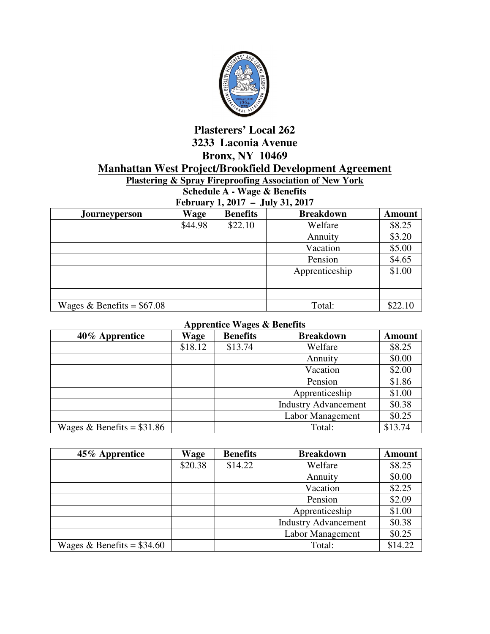

## **Plasterers' Local 262 3233 Laconia Avenue Bronx, NY 10469 Manhattan West Project/Brookfield Development Agreement**

**Plastering & Spray Fireproofing Association of New York** 

**Schedule A - Wage & Benefits February 1, 2017 – July 31, 2017** 

| Journeyperson               | <b>Wage</b> | <b>Benefits</b> | <b>Breakdown</b> | <b>Amount</b> |
|-----------------------------|-------------|-----------------|------------------|---------------|
|                             | \$44.98     | \$22.10         | Welfare          | \$8.25        |
|                             |             |                 | Annuity          | \$3.20        |
|                             |             |                 | Vacation         | \$5.00        |
|                             |             |                 | Pension          | \$4.65        |
|                             |             |                 | Apprenticeship   | \$1.00        |
|                             |             |                 |                  |               |
|                             |             |                 |                  |               |
| Wages & Benefits = $$67.08$ |             |                 | Total:           | \$22.10       |

## **Apprentice Wages & Benefits**

| 40% Apprentice              | . .<br>Wage | <b>Benefits</b> | <b>Breakdown</b>            | <b>Amount</b> |
|-----------------------------|-------------|-----------------|-----------------------------|---------------|
|                             | \$18.12     | \$13.74         | Welfare                     | \$8.25        |
|                             |             |                 | Annuity                     | \$0.00        |
|                             |             |                 | Vacation                    | \$2.00        |
|                             |             |                 | Pension                     | \$1.86        |
|                             |             |                 | Apprenticeship              | \$1.00        |
|                             |             |                 | <b>Industry Advancement</b> | \$0.38        |
|                             |             |                 | Labor Management            | \$0.25        |
| Wages & Benefits = $$31.86$ |             |                 | Total:                      | \$13.74       |

| 45% Apprentice              | Wage    | <b>Benefits</b> | <b>Breakdown</b>            | <b>Amount</b> |
|-----------------------------|---------|-----------------|-----------------------------|---------------|
|                             | \$20.38 | \$14.22         | Welfare                     | \$8.25        |
|                             |         |                 | Annuity                     | \$0.00        |
|                             |         |                 | Vacation                    | \$2.25        |
|                             |         |                 | Pension                     | \$2.09        |
|                             |         |                 | Apprenticeship              | \$1.00        |
|                             |         |                 | <b>Industry Advancement</b> | \$0.38        |
|                             |         |                 | Labor Management            | \$0.25        |
| Wages & Benefits = $$34.60$ |         |                 | Total:                      | \$14.22       |